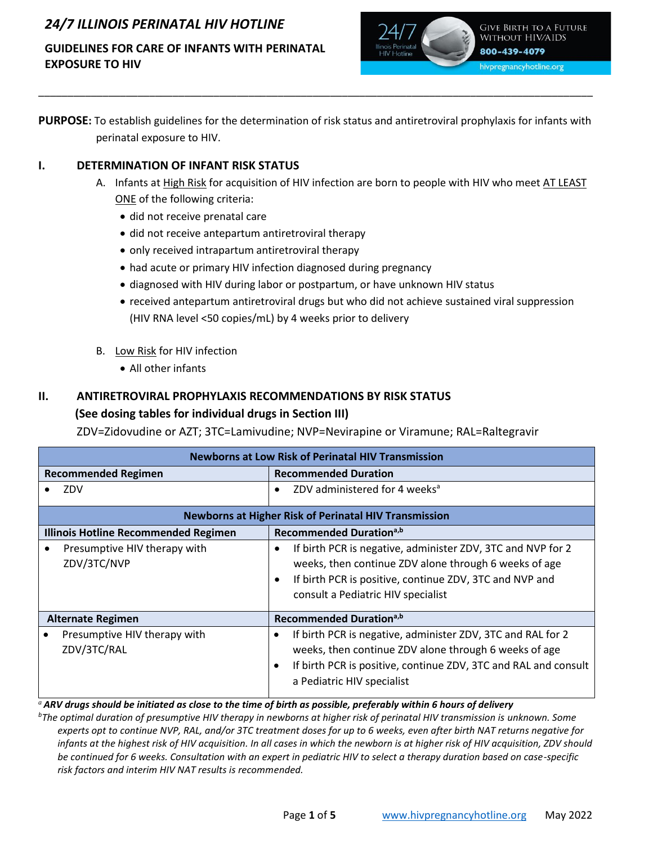### **GUIDELINES FOR CARE OF INFANTS WITH PERINATAL EXPOSURE TO HIV**



**PURPOSE:** To establish guidelines for the determination of risk status and antiretroviral prophylaxis for infants with perinatal exposure to HIV.

\_\_\_\_\_\_\_\_\_\_\_\_\_\_\_\_\_\_\_\_\_\_\_\_\_\_\_\_\_\_\_\_\_\_\_\_\_\_\_\_\_\_\_\_\_\_\_\_\_\_\_\_\_\_\_\_\_\_\_\_\_\_\_\_\_\_\_\_\_\_\_\_\_\_\_\_\_\_\_\_\_\_\_\_\_\_\_\_\_\_\_\_\_\_\_

### **I. DETERMINATION OF INFANT RISK STATUS**

- A. Infants at High Risk for acquisition of HIV infection are born to people with HIV who meet AT LEAST ONE of the following criteria:
	- did not receive prenatal care
	- did not receive antepartum antiretroviral therapy
	- only received intrapartum antiretroviral therapy
	- had acute or primary HIV infection diagnosed during pregnancy
	- diagnosed with HIV during labor or postpartum, or have unknown HIV status
	- received antepartum antiretroviral drugs but who did not achieve sustained viral suppression (HIV RNA level <50 copies/mL) by 4 weeks prior to delivery
- B. Low Risk for HIV infection
	- All other infants

# **II. ANTIRETROVIRAL PROPHYLAXIS RECOMMENDATIONS BY RISK STATUS (See dosing tables for individual drugs in Section III)**

ZDV=Zidovudine or AZT; 3TC=Lamivudine; NVP=Nevirapine or Viramune; RAL=Raltegravir

| <b>Newborns at Low Risk of Perinatal HIV Transmission</b>    |                                                                                                                                                                                                                                                 |  |  |  |  |
|--------------------------------------------------------------|-------------------------------------------------------------------------------------------------------------------------------------------------------------------------------------------------------------------------------------------------|--|--|--|--|
| <b>Recommended Regimen</b>                                   | <b>Recommended Duration</b>                                                                                                                                                                                                                     |  |  |  |  |
| ZDV                                                          | ZDV administered for 4 weeks <sup>a</sup><br>$\bullet$                                                                                                                                                                                          |  |  |  |  |
| <b>Newborns at Higher Risk of Perinatal HIV Transmission</b> |                                                                                                                                                                                                                                                 |  |  |  |  |
| <b>Illinois Hotline Recommended Regimen</b>                  | Recommended Duration <sup>a,b</sup>                                                                                                                                                                                                             |  |  |  |  |
| Presumptive HIV therapy with<br>٠<br>ZDV/3TC/NVP             | If birth PCR is negative, administer ZDV, 3TC and NVP for 2<br>weeks, then continue ZDV alone through 6 weeks of age<br>If birth PCR is positive, continue ZDV, 3TC and NVP and<br>$\bullet$<br>consult a Pediatric HIV specialist              |  |  |  |  |
| <b>Alternate Regimen</b>                                     | Recommended Duration <sup>a,b</sup>                                                                                                                                                                                                             |  |  |  |  |
| Presumptive HIV therapy with<br>ZDV/3TC/RAL                  | If birth PCR is negative, administer ZDV, 3TC and RAL for 2<br>$\bullet$<br>weeks, then continue ZDV alone through 6 weeks of age<br>If birth PCR is positive, continue ZDV, 3TC and RAL and consult<br>$\bullet$<br>a Pediatric HIV specialist |  |  |  |  |

*<sup>a</sup>ARV drugs should be initiated as close to the time of birth as possible, preferably within 6 hours of delivery*

*<sup>b</sup>The optimal duration of presumptive HIV therapy in newborns at higher risk of perinatal HIV transmission is unknown. Some experts opt to continue NVP, RAL, and/or 3TC treatment doses for up to 6 weeks, even after birth NAT returns negative for infants at the highest risk of HIV acquisition. In all cases in which the newborn is at higher risk of HIV acquisition, ZDV should be continued for 6 weeks. Consultation with an expert in pediatric HIV to select a therapy duration based on case-specific risk factors and interim HIV NAT results is recommended.*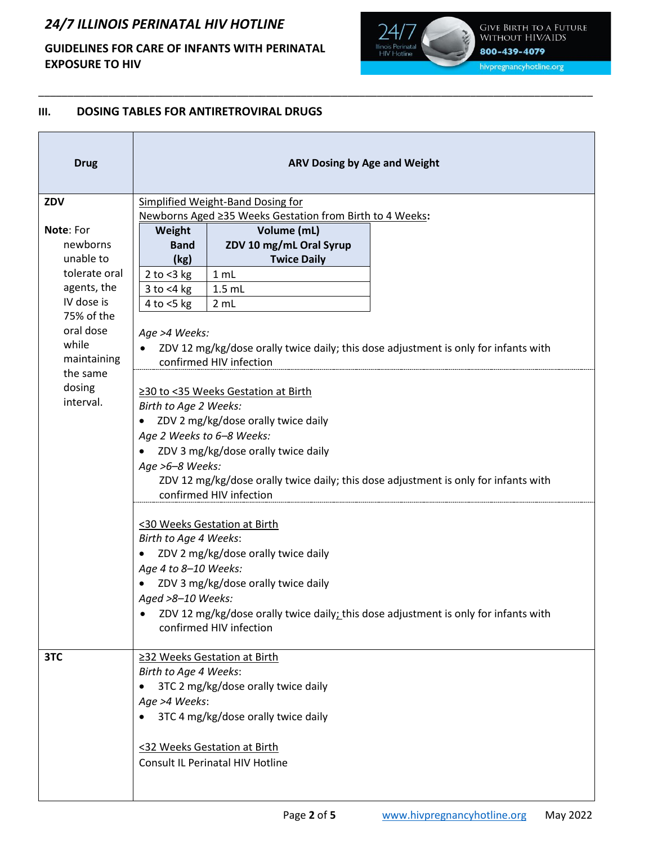### **GUIDELINES FOR CARE OF INFANTS WITH PERINATAL EXPOSURE TO HIV**



### **III. DOSING TABLES FOR ANTIRETROVIRAL DRUGS**

| <b>Drug</b>              |                                     | ARV Dosing by Age and Weight                             |                                                                                     |  |  |
|--------------------------|-------------------------------------|----------------------------------------------------------|-------------------------------------------------------------------------------------|--|--|
| <b>ZDV</b>               |                                     | <b>Simplified Weight-Band Dosing for</b>                 |                                                                                     |  |  |
|                          |                                     | Newborns Aged ≥35 Weeks Gestation from Birth to 4 Weeks: |                                                                                     |  |  |
| Note: For                | Weight                              | Volume (mL)                                              |                                                                                     |  |  |
| newborns                 | <b>Band</b>                         | ZDV 10 mg/mL Oral Syrup                                  |                                                                                     |  |  |
| unable to                | (kg)                                | <b>Twice Daily</b>                                       |                                                                                     |  |  |
| tolerate oral            | 2 to $<$ 3 kg                       | 1 mL                                                     |                                                                                     |  |  |
| agents, the              | $3$ to $<$ 4 kg                     | $1.5$ mL                                                 |                                                                                     |  |  |
| IV dose is<br>75% of the | 4 to $<$ 5 kg                       | 2 mL                                                     |                                                                                     |  |  |
| oral dose                |                                     |                                                          |                                                                                     |  |  |
| while                    | Age >4 Weeks:                       |                                                          |                                                                                     |  |  |
| maintaining              |                                     |                                                          | ZDV 12 mg/kg/dose orally twice daily; this dose adjustment is only for infants with |  |  |
| the same                 |                                     | confirmed HIV infection                                  |                                                                                     |  |  |
| dosing                   |                                     |                                                          |                                                                                     |  |  |
| interval.                | Birth to Age 2 Weeks:               | ≥30 to <35 Weeks Gestation at Birth                      |                                                                                     |  |  |
|                          |                                     |                                                          |                                                                                     |  |  |
|                          |                                     | ZDV 2 mg/kg/dose orally twice daily                      |                                                                                     |  |  |
|                          | Age 2 Weeks to 6-8 Weeks:           |                                                          |                                                                                     |  |  |
|                          |                                     | ZDV 3 mg/kg/dose orally twice daily                      |                                                                                     |  |  |
|                          | Age >6-8 Weeks:                     |                                                          |                                                                                     |  |  |
|                          |                                     | confirmed HIV infection                                  | ZDV 12 mg/kg/dose orally twice daily; this dose adjustment is only for infants with |  |  |
|                          |                                     |                                                          |                                                                                     |  |  |
|                          |                                     | <30 Weeks Gestation at Birth                             |                                                                                     |  |  |
|                          | Birth to Age 4 Weeks:               |                                                          |                                                                                     |  |  |
|                          |                                     | ZDV 2 mg/kg/dose orally twice daily                      |                                                                                     |  |  |
|                          | Age 4 to 8-10 Weeks:                |                                                          |                                                                                     |  |  |
|                          |                                     | ZDV 3 mg/kg/dose orally twice daily                      |                                                                                     |  |  |
|                          | Aged >8-10 Weeks:                   |                                                          |                                                                                     |  |  |
|                          |                                     |                                                          | ZDV 12 mg/kg/dose orally twice daily; this dose adjustment is only for infants with |  |  |
|                          |                                     | confirmed HIV infection                                  |                                                                                     |  |  |
|                          |                                     |                                                          |                                                                                     |  |  |
| 3TC                      |                                     | ≥32 Weeks Gestation at Birth                             |                                                                                     |  |  |
|                          | Birth to Age 4 Weeks:               |                                                          |                                                                                     |  |  |
|                          | $\bullet$                           | 3TC 2 mg/kg/dose orally twice daily                      |                                                                                     |  |  |
|                          | Age >4 Weeks:                       |                                                          |                                                                                     |  |  |
|                          | 3TC 4 mg/kg/dose orally twice daily |                                                          |                                                                                     |  |  |
|                          |                                     |                                                          |                                                                                     |  |  |
|                          |                                     | <32 Weeks Gestation at Birth                             |                                                                                     |  |  |
|                          |                                     | <b>Consult IL Perinatal HIV Hotline</b>                  |                                                                                     |  |  |
|                          |                                     |                                                          |                                                                                     |  |  |
|                          |                                     |                                                          |                                                                                     |  |  |

\_\_\_\_\_\_\_\_\_\_\_\_\_\_\_\_\_\_\_\_\_\_\_\_\_\_\_\_\_\_\_\_\_\_\_\_\_\_\_\_\_\_\_\_\_\_\_\_\_\_\_\_\_\_\_\_\_\_\_\_\_\_\_\_\_\_\_\_\_\_\_\_\_\_\_\_\_\_\_\_\_\_\_\_\_\_\_\_\_\_\_\_\_\_\_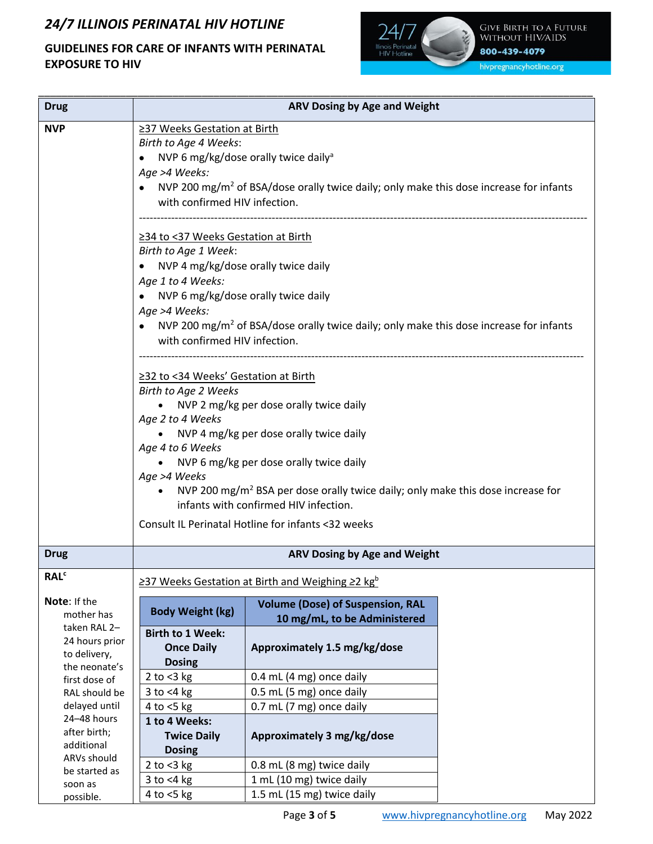## **GUIDELINES FOR CARE OF INFANTS WITH PERINATAL EXPOSURE TO HIV**



| <b>Drug</b>                    |                                                  | ARV Dosing by Age and Weight                                                                         |  |
|--------------------------------|--------------------------------------------------|------------------------------------------------------------------------------------------------------|--|
| <b>NVP</b>                     | ≥37 Weeks Gestation at Birth                     |                                                                                                      |  |
|                                | Birth to Age 4 Weeks:                            |                                                                                                      |  |
|                                |                                                  |                                                                                                      |  |
|                                | NVP 6 mg/kg/dose orally twice daily <sup>a</sup> |                                                                                                      |  |
|                                | Age >4 Weeks:                                    |                                                                                                      |  |
|                                |                                                  | • NVP 200 mg/m <sup>2</sup> of BSA/dose orally twice daily; only make this dose increase for infants |  |
|                                | with confirmed HIV infection.                    |                                                                                                      |  |
|                                | ≥34 to <37 Weeks Gestation at Birth              |                                                                                                      |  |
|                                | Birth to Age 1 Week:                             |                                                                                                      |  |
|                                | NVP 4 mg/kg/dose orally twice daily              |                                                                                                      |  |
|                                | Age 1 to 4 Weeks:                                |                                                                                                      |  |
|                                | NVP 6 mg/kg/dose orally twice daily              |                                                                                                      |  |
|                                | Age >4 Weeks:                                    |                                                                                                      |  |
|                                |                                                  | • NVP 200 mg/m <sup>2</sup> of BSA/dose orally twice daily; only make this dose increase for infants |  |
|                                | with confirmed HIV infection.                    |                                                                                                      |  |
|                                |                                                  |                                                                                                      |  |
|                                |                                                  |                                                                                                      |  |
|                                | ≥32 to <34 Weeks' Gestation at Birth             |                                                                                                      |  |
|                                | Birth to Age 2 Weeks                             |                                                                                                      |  |
|                                |                                                  | • NVP 2 mg/kg per dose orally twice daily                                                            |  |
|                                | Age 2 to 4 Weeks                                 |                                                                                                      |  |
|                                |                                                  | NVP 4 mg/kg per dose orally twice daily                                                              |  |
|                                | Age 4 to 6 Weeks                                 |                                                                                                      |  |
|                                |                                                  | NVP 6 mg/kg per dose orally twice daily                                                              |  |
|                                | Age >4 Weeks                                     |                                                                                                      |  |
|                                | $\bullet$                                        | NVP 200 mg/m <sup>2</sup> BSA per dose orally twice daily; only make this dose increase for          |  |
|                                |                                                  | infants with confirmed HIV infection.                                                                |  |
|                                |                                                  | Consult IL Perinatal Hotline for infants <32 weeks                                                   |  |
| <b>Drug</b>                    |                                                  | ARV Dosing by Age and Weight                                                                         |  |
|                                |                                                  |                                                                                                      |  |
| <b>RAL<sup>c</sup></b>         |                                                  | ≥37 Weeks Gestation at Birth and Weighing ≥2 kg <sup>b</sup>                                         |  |
| Note: If the                   | <b>Body Weight (kg)</b>                          | <b>Volume (Dose) of Suspension, RAL</b>                                                              |  |
| mother has                     |                                                  | 10 mg/mL, to be Administered                                                                         |  |
| taken RAL 2-                   | <b>Birth to 1 Week:</b>                          |                                                                                                      |  |
| 24 hours prior<br>to delivery, | <b>Once Daily</b>                                | Approximately 1.5 mg/kg/dose                                                                         |  |
| the neonate's                  | <b>Dosing</b>                                    |                                                                                                      |  |
| first dose of                  | 2 to $<$ 3 kg                                    | 0.4 mL (4 mg) once daily                                                                             |  |
| RAL should be                  | 3 to $<$ 4 kg                                    | 0.5 mL (5 mg) once daily                                                                             |  |
| delayed until                  | 4 to $<$ 5 kg                                    | 0.7 mL (7 mg) once daily                                                                             |  |
| 24-48 hours                    | 1 to 4 Weeks:                                    |                                                                                                      |  |
| after birth;                   | <b>Twice Daily</b>                               | Approximately 3 mg/kg/dose                                                                           |  |
| additional                     | <b>Dosing</b>                                    |                                                                                                      |  |
| ARVs should                    | 2 to $<$ 3 kg                                    | 0.8 mL (8 mg) twice daily                                                                            |  |
| be started as                  | 3 to $<$ 4 kg                                    | 1 mL (10 mg) twice daily                                                                             |  |
| soon as                        | 4 to $<$ 5 kg                                    | 1.5 mL (15 mg) twice daily                                                                           |  |
| possible.                      |                                                  |                                                                                                      |  |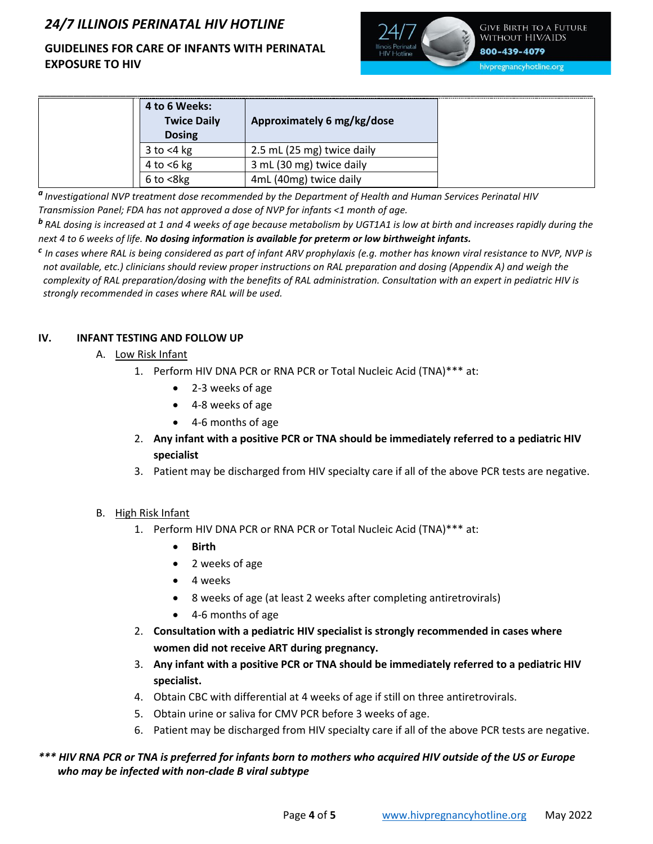### **GUIDELINES FOR CARE OF INFANTS WITH PERINATAL EXPOSURE TO HIV**



| 4 to 6 Weeks:<br><b>Twice Daily</b> | Approximately 6 mg/kg/dose |  |
|-------------------------------------|----------------------------|--|
| <b>Dosing</b>                       |                            |  |
| 3 to $<$ 4 kg                       | 2.5 mL (25 mg) twice daily |  |
| 4 to $<$ 6 kg                       | 3 mL (30 mg) twice daily   |  |
| $6$ to $<8$ kg                      | 4mL (40mg) twice daily     |  |

*<sup>a</sup>Investigational NVP treatment dose recommended by the Department of Health and Human Services Perinatal HIV Transmission Panel; FDA has not approved a dose of NVP for infants <1 month of age.*

*<sup>b</sup>RAL dosing is increased at 1 and 4 weeks of age because metabolism by UGT1A1 is low at birth and increases rapidly during the next 4 to 6 weeks of life. No dosing information is available for preterm or low birthweight infants.*

*c In cases where RAL is being considered as part of infant ARV prophylaxis (e.g. mother has known viral resistance to NVP, NVP is not available, etc.) clinicians should review proper instructions on RAL preparation and dosing (Appendix A) and weigh the complexity of RAL preparation/dosing with the benefits of RAL administration. Consultation with an expert in pediatric HIV is strongly recommended in cases where RAL will be used.* 

#### **IV. INFANT TESTING AND FOLLOW UP**

#### A. Low Risk Infant

- 1. Perform HIV DNA PCR or RNA PCR or Total Nucleic Acid (TNA)\*\*\* at:
	- 2-3 weeks of age
	- 4-8 weeks of age
	- 4-6 months of age

### 2. **Any infant with a positive PCR or TNA should be immediately referred to a pediatric HIV specialist**

3. Patient may be discharged from HIV specialty care if all of the above PCR tests are negative.

#### B. High Risk Infant

- 1. Perform HIV DNA PCR or RNA PCR or Total Nucleic Acid (TNA)\*\*\* at:
	- **Birth**
	- 2 weeks of age
	- 4 weeks
	- 8 weeks of age (at least 2 weeks after completing antiretrovirals)
	- 4-6 months of age
- 2. **Consultation with a pediatric HIV specialist is strongly recommended in cases where women did not receive ART during pregnancy.**
- 3. **Any infant with a positive PCR or TNA should be immediately referred to a pediatric HIV specialist.**
- 4. Obtain CBC with differential at 4 weeks of age if still on three antiretrovirals.
- 5. Obtain urine or saliva for CMV PCR before 3 weeks of age.
- 6. Patient may be discharged from HIV specialty care if all of the above PCR tests are negative.

#### *\*\*\* HIV RNA PCR or TNA is preferred for infants born to mothers who acquired HIV outside of the US or Europe who may be infected with non-clade B viral subtype*